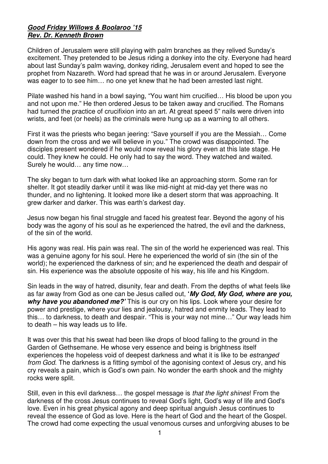## **Good Friday Willows & Boolaroo '15 Rev. Dr. Kenneth Brown**

Children of Jerusalem were still playing with palm branches as they relived Sunday's excitement. They pretended to be Jesus riding a donkey into the city. Everyone had heard about last Sunday's palm waving, donkey riding, Jerusalem event and hoped to see the prophet from Nazareth. Word had spread that he was in or around Jerusalem. Everyone was eager to to see him… no one yet knew that he had been arrested last night.

Pilate washed his hand in a bowl saying, "You want him crucified… His blood be upon you and not upon me." He then ordered Jesus to be taken away and crucified. The Romans had turned the practice of crucifixion into an art. At great speed 5" nails were driven into wrists, and feet (or heels) as the criminals were hung up as a warning to all others.

First it was the priests who began jeering: "Save yourself if you are the Messiah… Come down from the cross and we will believe in you." The crowd was disappointed. The disciples present wondered if he would now reveal his glory even at this late stage. He could. They knew he could. He only had to say the word. They watched and waited. Surely he would… any time now…

The sky began to turn dark with what looked like an approaching storm. Some ran for shelter. It got steadily darker until it was like mid-night at mid-day yet there was no thunder, and no lightening. It looked more like a desert storm that was approaching. It grew darker and darker. This was earth's darkest day.

Jesus now began his final struggle and faced his greatest fear. Beyond the agony of his body was the agony of his soul as he experienced the hatred, the evil and the darkness, of the sin of the world.

His agony was real. His pain was real. The sin of the world he experienced was real. This was a genuine agony for his soul. Here he experienced the world of sin (the sin of the world); he experienced the darkness of sin; and he experienced the death and despair of sin. His experience was the absolute opposite of his way, his life and his Kingdom.

Sin leads in the way of hatred, disunity, fear and death. From the depths of what feels like as far away from God as one can be Jesus called out, **'My God, My God, where are you, why have you abandoned me?'** This is our cry on his lips. Look where your desire for power and prestige, where your lies and jealousy, hatred and enmity leads. They lead to this… to darkness, to death and despair. "This is your way not mine…" Our way leads him to death – his way leads us to life.

It was over this that his sweat had been like drops of blood falling to the ground in the Garden of Gethsemane. He whose very essence and being is brightness itself experiences the hopeless void of deepest darkness and what it is like to be estranged from God. The darkness is a fitting symbol of the agonising context of Jesus cry, and his cry reveals a pain, which is God's own pain. No wonder the earth shook and the mighty rocks were split.

Still, even in this evil darkness… the gospel message is that the light shines! From the darkness of the cross Jesus continues to reveal God's light, God's way of life and God's love. Even in his great physical agony and deep spiritual anguish Jesus continues to reveal the essence of God as love. Here is the heart of God and the heart of the Gospel. The crowd had come expecting the usual venomous curses and unforgiving abuses to be